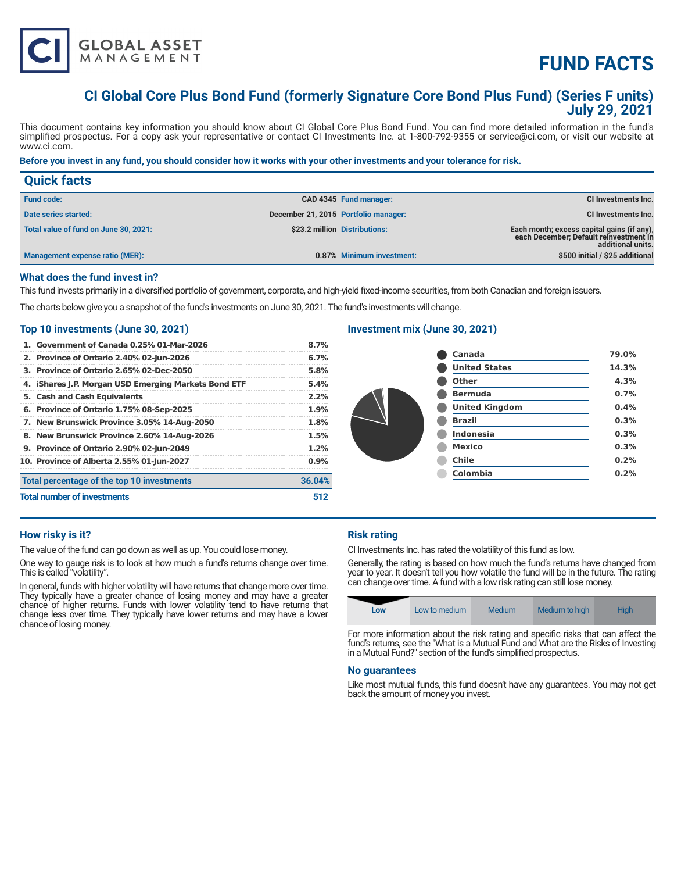

# **FUND FACTS**

# **CI Global Core Plus Bond Fund (formerly Signature Core Bond Plus Fund) (Series F units) July 29, 2021**

This document contains key information you should know about CI Global Core Plus Bond Fund. You can find more detailed information in the fund's simplified prospectus. For a copy ask your representative or contact CI Investments Inc. at 1-800-792-9355 or service@ci.com, or visit our website at www.ci.com.

# **Before you invest in any fund, you should consider how it works with your other investments and your tolerance for risk.**

| <b>Quick facts</b>                    |                                      |                               |                                                                                                           |
|---------------------------------------|--------------------------------------|-------------------------------|-----------------------------------------------------------------------------------------------------------|
| <b>Fund code:</b>                     |                                      | CAD 4345 Fund manager:        | CI Investments Inc.                                                                                       |
| Date series started:                  | December 21, 2015 Portfolio manager: |                               | CI Investments Inc.                                                                                       |
| Total value of fund on June 30, 2021: |                                      | \$23.2 million Distributions: | Each month; excess capital gains (if any),<br>each December; Default reinvestment in<br>additional units. |
| Management expense ratio (MER):       |                                      | 0.87% Minimum investment:     | \$500 initial / \$25 additional                                                                           |

#### **What does the fund invest in?**

This fund invests primarily in a diversified portfolio of government, corporate, and high-yield fixed-income securities, from both Canadian and foreign issuers.

The charts below give you a snapshot of the fund's investments on June 30, 2021. The fund's investments will change.

#### **Top 10 investments (June 30, 2021)**

| 1. Government of Canada 0.25% 01-Mar-2026            | 8.7%   |
|------------------------------------------------------|--------|
| 2. Province of Ontario 2.40% 02-Jun-2026             | 6.7%   |
| 3. Province of Ontario 2.65% 02-Dec-2050             | 5.8%   |
| 4. iShares J.P. Morgan USD Emerging Markets Bond ETF | 5.4%   |
| 5. Cash and Cash Equivalents                         | 2.2%   |
| 6. Province of Ontario 1.75% 08-Sep-2025             | 1.9%   |
| 7. New Brunswick Province 3.05% 14-Aug-2050          | 1.8%   |
| 8. New Brunswick Province 2.60% 14-Aug-2026          | 1.5%   |
| 9. Province of Ontario 2.90% 02-Jun-2049             | 1.2%   |
| 10. Province of Alberta 2.55% 01-Jun-2027            | 0.9%   |
| Total percentage of the top 10 investments           | 36.04% |
| <b>Total number of investments</b>                   | 512    |

# **Investment mix (June 30, 2021)**

| Canada                | 79.0% |
|-----------------------|-------|
| <b>United States</b>  | 14.3% |
| Other                 | 4.3%  |
| <b>Bermuda</b>        | 0.7%  |
| <b>United Kingdom</b> | 0.4%  |
| <b>Brazil</b>         | 0.3%  |
| <b>Indonesia</b>      | 0.3%  |
| <b>Mexico</b>         | 0.3%  |
| <b>Chile</b>          | 0.2%  |
| <b>Colombia</b>       | 0.2%  |
|                       |       |

#### **How risky is it?**

The value of the fund can go down as well as up. You could lose money.

One way to gauge risk is to look at how much a fund's returns change over time. This is called "volatility".

In general, funds with higher volatility will have returns that change more over time. They typically have a greater chance of losing money and may have a greater chance of higher returns. Funds with lower volatility tend to have returns that change less over time. They typically have lower returns and may have a lower chance of losing money.

# **Risk rating**

CI Investments Inc. has rated the volatility of this fund as low.

Generally, the rating is based on how much the fund's returns have changed from year to year. It doesn't tell you how volatile the fund will be in the future. The rating can change over time. A fund with a low risk rating can still lose money.

| Low | Low to medium | Medium | Medium to high | <b>High</b> |
|-----|---------------|--------|----------------|-------------|
|-----|---------------|--------|----------------|-------------|

For more information about the risk rating and specific risks that can affect the fund's returns, see the "What is a Mutual Fund and What are the Risks of Investing in a Mutual Fund?" section of the fund's simplified prospectus.

#### **No guarantees**

Like most mutual funds, this fund doesn't have any guarantees. You may not get back the amount of money you invest.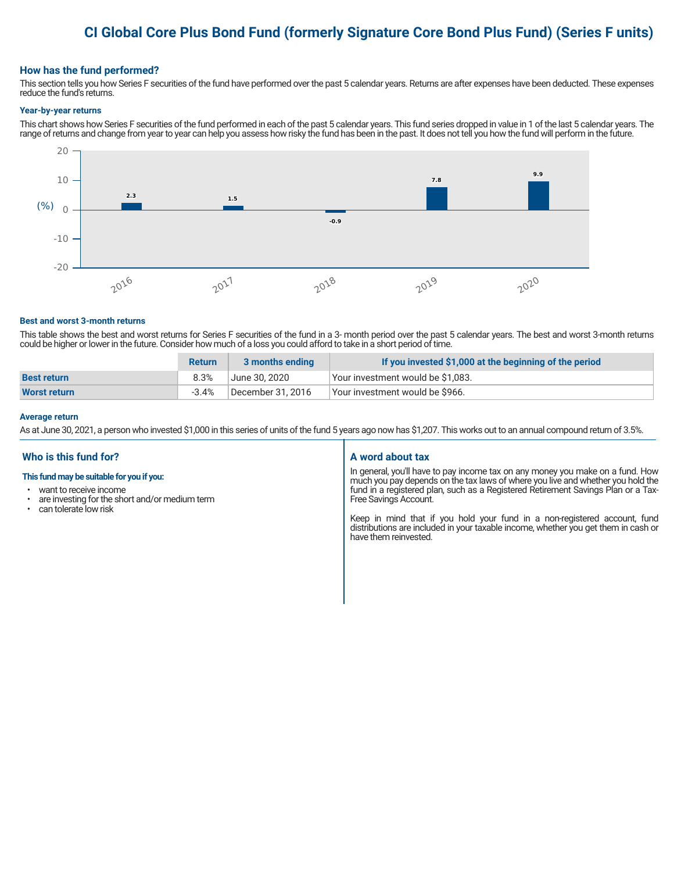# **CI Global Core Plus Bond Fund (formerly Signature Core Bond Plus Fund) (Series F units)**

# **How has the fund performed?**

This section tells you how Series F securities of the fund have performed over the past 5 calendar years. Returns are after expenses have been deducted. These expenses reduce the fund's returns.

#### **Year-by-year returns**

This chart shows how Series F securities of the fund performed in each of the past 5 calendar years. This fund series dropped in value in 1 of the last 5 calendar years. The range of returns and change from year to year can help you assess how risky the fund has been in the past. It does not tell you how the fund will perform in the future.



#### **Best and worst 3-month returns**

This table shows the best and worst returns for Series F securities of the fund in a 3- month period over the past 5 calendar years. The best and worst 3-month returns could be higher or lower in the future. Consider how much of a loss you could afford to take in a short period of time.

|                     | <b>Return</b> | 3 months ending   | If you invested \$1,000 at the beginning of the period |
|---------------------|---------------|-------------------|--------------------------------------------------------|
| <b>Best return</b>  | 8.3%          | June 30. 2020     | Vour investment would be \$1,083.                      |
| <b>Worst return</b> | $-3.4\%$      | December 31, 2016 | Vour investment would be \$966.                        |

#### **Average return**

As at June 30, 2021, a person who invested \$1,000 in this series of units of the fund 5 years ago now has \$1,207. This works out to an annual compound return of 3.5%.

# **Who is this fund for?**

#### **This fund may be suitable for you if you:**

- want to receive income
- $\cdot$  are investing for the short and/or medium term<br> $\cdot$  can telerate low risk
- can tolerate low risk

#### **A word about tax**

In general, you'll have to pay income tax on any money you make on a fund. How much you pay depends on the tax laws of where you live and whether you hold the fund in a registered plan, such as a Registered Retirement Savings Plan or a Tax-Free Savings Account.

Keep in mind that if you hold your fund in a non-registered account, fund distributions are included in your taxable income, whether you get them in cash or have them reinvested.